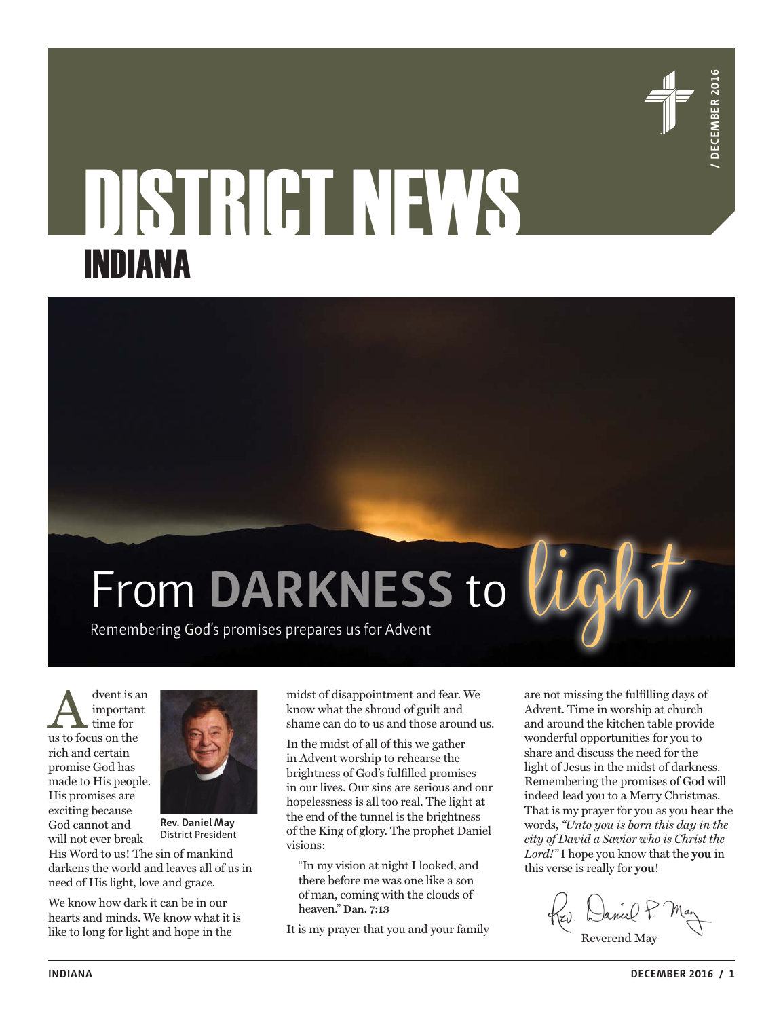

# DISTRICT NEWS INDIANA



A dvent is an important<br>time for us to focus on the important time for rich and certain promise God has made to His people. His promises are exciting because God cannot and will not ever break



**Rev. Daniel May** District President

His Word to us! The sin of mankind darkens the world and leaves all of us in need of His light, love and grace.

We know how dark it can be in our hearts and minds. We know what it is like to long for light and hope in the

midst of disappointment and fear. We know what the shroud of guilt and shame can do to us and those around us.

In the midst of all of this we gather in Advent worship to rehearse the brightness of God's fulfilled promises in our lives. Our sins are serious and our hopelessness is all too real. The light at the end of the tunnel is the brightness of the King of glory. The prophet Daniel visions:

"In my vision at night I looked, and there before me was one like a son of man, coming with the clouds of heaven." **Dan. 7:13**

It is my prayer that you and your family

are not missing the fulfilling days of Advent. Time in worship at church and around the kitchen table provide wonderful opportunities for you to share and discuss the need for the light of Jesus in the midst of darkness. Remembering the promises of God will indeed lead you to a Merry Christmas. That is my prayer for you as you hear the words, *"Unto you is born this day in the city of David a Savior who is Christ the Lord!"* I hope you know that the **you** in this verse is really for **you**!

Kev. Daniel P. Reverend May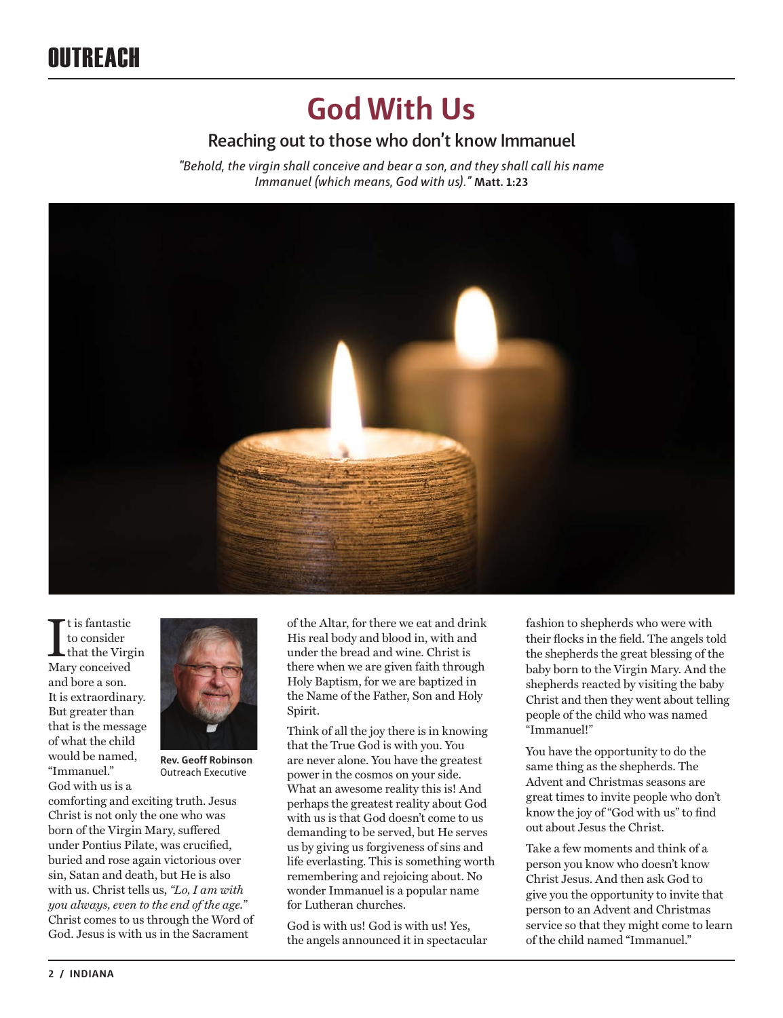## **God With Us**

## **Reaching out to those who don't know Immanuel**

*"Behold, the virgin shall conceive and bear a son, and they shall call his name Immanuel (which means, God with us)."* **Matt. 1:23**



 $\begin{array}{l} \displaystyle \prod \limits_{\text{to consider}} \text{to consider} \\ \text{that the Virg } \text{Mary conceived} \end{array}$ t is fantastic to consider that the Virgin and bore a son. It is extraordinary. But greater than that is the message of what the child would be named, "Immanuel." God with us is a



**Rev. Geoff Robinson** Outreach Executive

comforting and exciting truth. Jesus Christ is not only the one who was born of the Virgin Mary, suffered under Pontius Pilate, was crucified, buried and rose again victorious over sin, Satan and death, but He is also with us. Christ tells us, *"Lo, I am with you always, even to the end of the age."*  Christ comes to us through the Word of God. Jesus is with us in the Sacrament

of the Altar, for there we eat and drink His real body and blood in, with and under the bread and wine. Christ is there when we are given faith through Holy Baptism, for we are baptized in the Name of the Father, Son and Holy Spirit.

Think of all the joy there is in knowing that the True God is with you. You are never alone. You have the greatest power in the cosmos on your side. What an awesome reality this is! And perhaps the greatest reality about God with us is that God doesn't come to us demanding to be served, but He serves us by giving us forgiveness of sins and life everlasting. This is something worth remembering and rejoicing about. No wonder Immanuel is a popular name for Lutheran churches.

God is with us! God is with us! Yes, the angels announced it in spectacular

fashion to shepherds who were with their flocks in the field. The angels told the shepherds the great blessing of the baby born to the Virgin Mary. And the shepherds reacted by visiting the baby Christ and then they went about telling people of the child who was named "Immanuel!"

You have the opportunity to do the same thing as the shepherds. The Advent and Christmas seasons are great times to invite people who don't know the joy of "God with us" to find out about Jesus the Christ.

Take a few moments and think of a person you know who doesn't know Christ Jesus. And then ask God to give you the opportunity to invite that person to an Advent and Christmas service so that they might come to learn of the child named "Immanuel."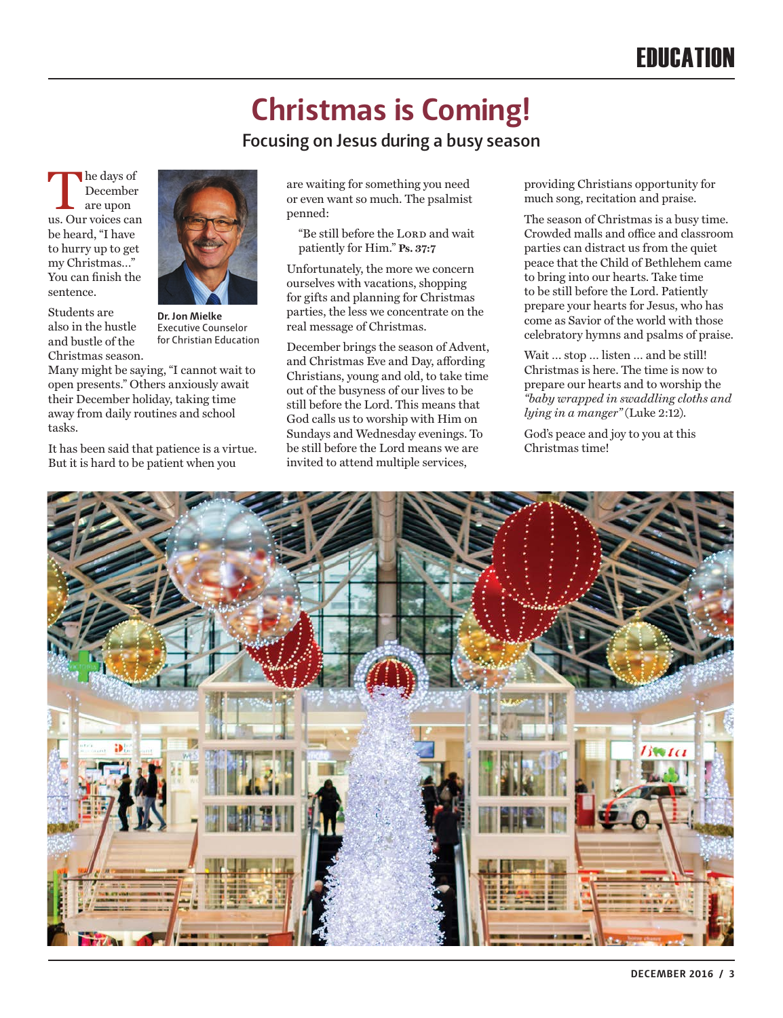# **Christmas is Coming!**

## **Focusing on Jesus during a busy season**

 $\begin{tabular}{|c|c|} \hline \textbf{he days of} \\ \textbf{December} \\ \textbf{are upon} \\ \textbf{us. Our voices can} \\ \hline \end{tabular}$ December are upon be heard, "I have to hurry up to get my Christmas…" You can finish the sentence.



Students are also in the hustle and bustle of the Christmas season.

**Dr. Jon Mielke**  Executive Counselor for Christian Education

Many might be saying, "I cannot wait to open presents." Others anxiously await their December holiday, taking time away from daily routines and school tasks.

It has been said that patience is a virtue. But it is hard to be patient when you

are waiting for something you need or even want so much. The psalmist penned:

"Be still before the LORD and wait patiently for Him." **Ps. 37:7**

Unfortunately, the more we concern ourselves with vacations, shopping for gifts and planning for Christmas parties, the less we concentrate on the real message of Christmas.

December brings the season of Advent, and Christmas Eve and Day, affording Christians, young and old, to take time out of the busyness of our lives to be still before the Lord. This means that God calls us to worship with Him on Sundays and Wednesday evenings. To be still before the Lord means we are invited to attend multiple services,

providing Christians opportunity for much song, recitation and praise.

The season of Christmas is a busy time. Crowded malls and office and classroom parties can distract us from the quiet peace that the Child of Bethlehem came to bring into our hearts. Take time to be still before the Lord. Patiently prepare your hearts for Jesus, who has come as Savior of the world with those celebratory hymns and psalms of praise.

Wait … stop … listen … and be still! Christmas is here. The time is now to prepare our hearts and to worship the *"baby wrapped in swaddling cloths and lying in a manger"* (Luke 2:12).

God's peace and joy to you at this Christmas time!

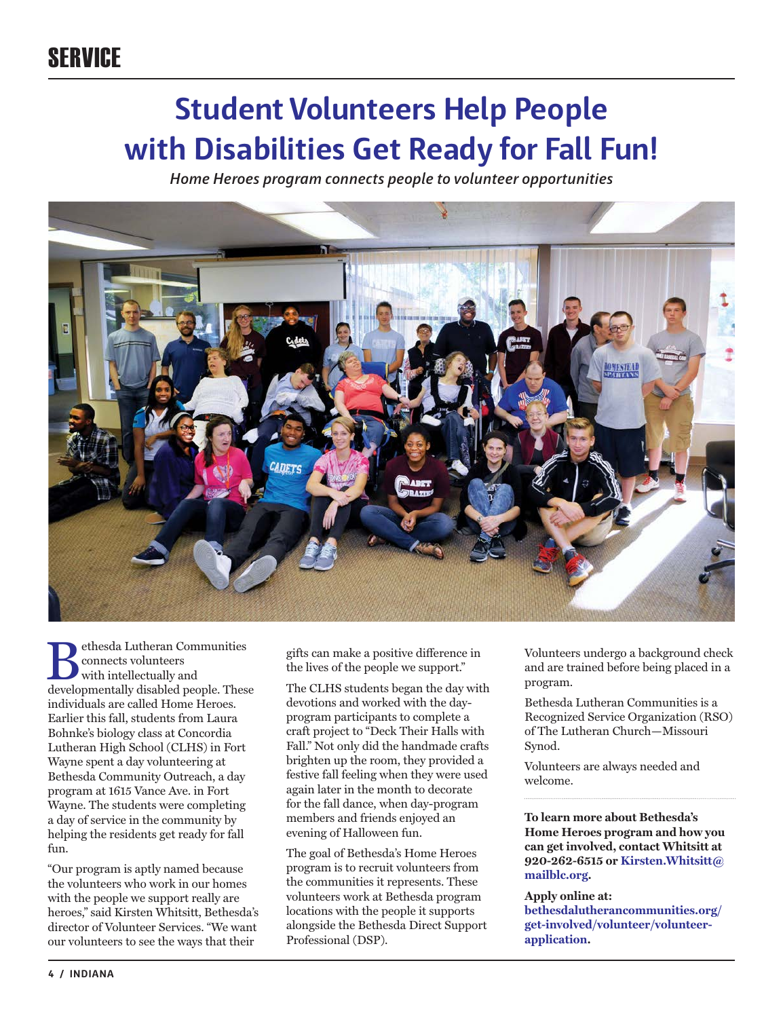# **Student Volunteers Help People with Disabilities Get Ready for Fall Fun!**

*Home Heroes program connects people to volunteer opportunities*



 $\begin{tabular}{l} \quad \quad \textbf{P} \text{e} \text{the} \text{sd} \text{Lutheran} \text{ Communist} \text{is} \\ \text{connects} \text{vblunte} \text{ers} \\ \text{with intellig disabled people. These} \end{tabular}$ connects volunteers with intellectually and individuals are called Home Heroes. Earlier this fall, students from Laura Bohnke's biology class at Concordia Lutheran High School (CLHS) in Fort Wayne spent a day volunteering at Bethesda Community Outreach, a day program at 1615 Vance Ave. in Fort Wayne. The students were completing a day of service in the community by helping the residents get ready for fall fun.

"Our program is aptly named because the volunteers who work in our homes with the people we support really are heroes," said Kirsten Whitsitt, Bethesda's director of Volunteer Services. "We want our volunteers to see the ways that their

gifts can make a positive difference in the lives of the people we support."

The CLHS students began the day with devotions and worked with the dayprogram participants to complete a craft project to "Deck Their Halls with Fall." Not only did the handmade crafts brighten up the room, they provided a festive fall feeling when they were used again later in the month to decorate for the fall dance, when day-program members and friends enjoyed an evening of Halloween fun.

The goal of Bethesda's Home Heroes program is to recruit volunteers from the communities it represents. These volunteers work at Bethesda program locations with the people it supports alongside the Bethesda Direct Support Professional (DSP).

Volunteers undergo a background check and are trained before being placed in a program.

Bethesda Lutheran Communities is a Recognized Service Organization (RSO) of The Lutheran Church—Missouri Synod.

Volunteers are always needed and welcome.

**To learn more about Bethesda's Home Heroes program and how you can get involved, contact Whitsitt at 920-262-6515 or Kirsten.Whitsitt@ mailblc.org.** 

#### **Apply online at:**

**bethesdalutherancommunities.org/ get-involved/volunteer/volunteerapplication.**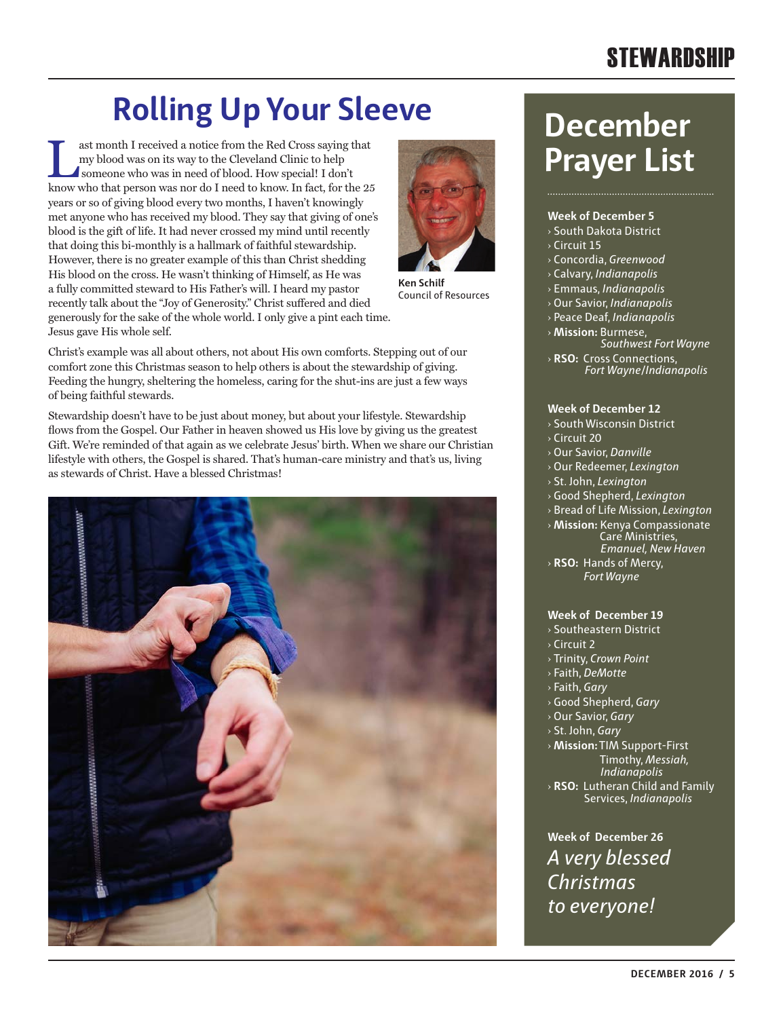## **STEWARDSHIP**

# **Rolling Up Your Sleeve December**

ast month I received a notice from the Red Cross saying that my blood was on its way to the Cleveland Clinic to help someone who was in need of blood. How special! I don't know who that person was nor do I need to know. In fact, for the 25 years or so of giving blood every two months, I haven't knowingly met anyone who has received my blood. They say that giving of one's blood is the gift of life. It had never crossed my mind until recently that doing this bi-monthly is a hallmark of faithful stewardship. However, there is no greater example of this than Christ shedding His blood on the cross. He wasn't thinking of Himself, as He was a fully committed steward to His Father's will. I heard my pastor recently talk about the "Joy of Generosity." Christ suffered and died generously for the sake of the whole world. I only give a pint each time. Jesus gave His whole self.



**Ken Schilf** Council of Resources

Christ's example was all about others, not about His own comforts. Stepping out of our comfort zone this Christmas season to help others is about the stewardship of giving. Feeding the hungry, sheltering the homeless, caring for the shut-ins are just a few ways of being faithful stewards.

Stewardship doesn't have to be just about money, but about your lifestyle. Stewardship flows from the Gospel. Our Father in heaven showed us His love by giving us the greatest Gift. We're reminded of that again as we celebrate Jesus' birth. When we share our Christian lifestyle with others, the Gospel is shared. That's human-care ministry and that's us, living as stewards of Christ. Have a blessed Christmas!



# **Prayer List**

#### **Week of December 5**

- › South Dakota District
- › Circuit 15
- › Concordia, *Greenwood*
- › Calvary, *Indianapolis*
- › Emmaus, *Indianapolis*
- › Our Savior, *Indianapolis*
- › Peace Deaf, *Indianapolis*
- › **Mission:** Burmese,
- *Southwest Fort Wayne*
- › **RSO:** Cross Connections,  *Fort Wayne*/*Indianapolis*

#### **Week of December 12**

- › South Wisconsin District
- › Circuit 20
- › Our Savior, *Danville*
- › Our Redeemer, *Lexington*
- › St. John, *Lexington*
- › Good Shepherd, *Lexington*
- › Bread of Life Mission, *Lexington*
- › **Mission:** Kenya Compassionate Care Ministries,
- *Emanuel, New Haven* › **RSO:** Hands of Mercy, *Fort Wayne*

#### **Week of December 19**

- › Southeastern District
- $\sqrt{2}$  Circuit 2
- › Trinity, *Crown Point*
- › Faith, *DeMotte*
- › Faith, *Gary*
- › Good Shepherd, *Gary*
- › Our Savior, *Gary*
- › St. John, *Gary*
- › **Mission:** TIM Support-First Timothy, *Messiah, Indianapolis*
- › **RSO:** Lutheran Child and Family Services, *Indianapolis*

**Week of December 26** *A very blessed Christmas to everyone!*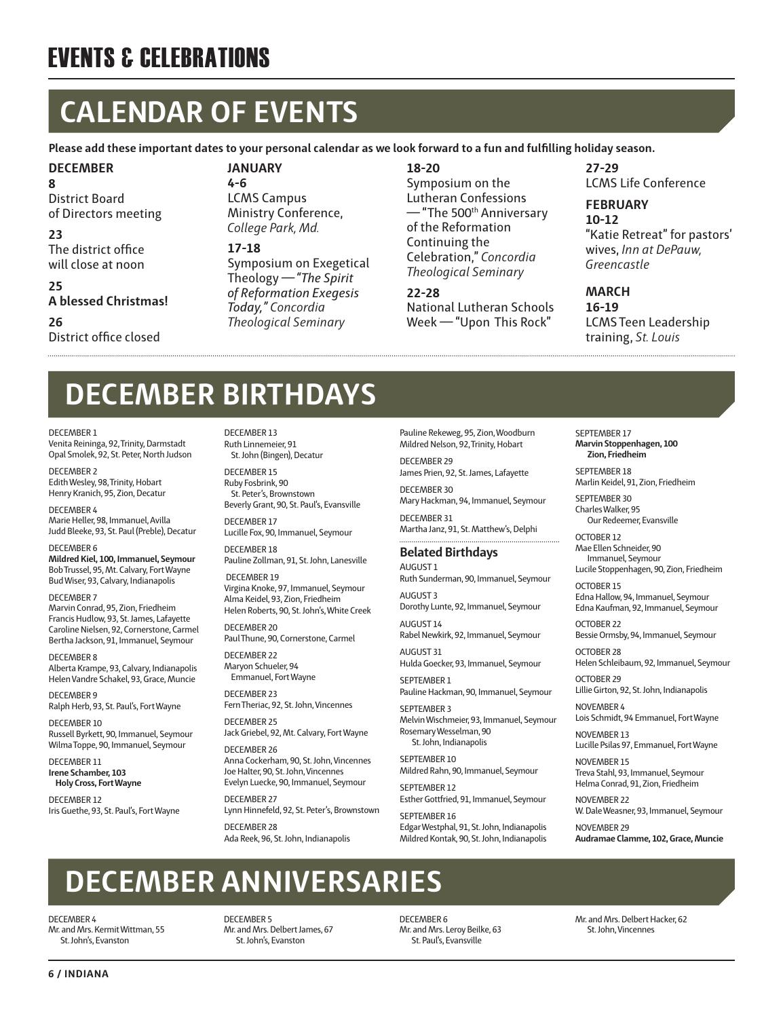## EVENTS & CELEBRATIONS

# **CALENDAR OF EVENTS**

**Please add these important dates to your personal calendar as we look forward to a fun and fulfilling holiday season.**

## **DECEMBER**

**8** District Board of Directors meeting

## **23**

The district office will close at noon

#### **25 A blessed Christmas!**

**26** District office closed

## **JANUARY**

**4-6** LCMS Campus Ministry Conference, *College Park, Md.*

#### **17-18**

Symposium on Exegetical Theology —*"The Spirit of Reformation Exegesis Today," Concordia Theological Seminary*

### **18-20**

Symposium on the Lutheran Confessions — "The 500th Anniversary of the Reformation Continuing the Celebration," *Concordia Theological Seminary*

## **22-28**

National Lutheran Schools Week — "Upon This Rock"

**27-29** LCMS Life Conference

## **FEBRUARY**

**10-12** "Katie Retreat" for pastors' wives, *Inn at DePauw, Greencastle*

#### **MARCH**

**16-19** LCMS Teen Leadership training, *St. Louis*

# **DECEMBER BIRTHDAYS**

DECEMBER 1

Venita Reininga, 92, Trinity, Darmstadt Opal Smolek, 92, St. Peter, North Judson

DECEMBER 2 Edith Wesley, 98, Trinity, Hobart Henry Kranich, 95, Zion, Decatur

DECEMBER 4 Marie Heller, 98, Immanuel, Avilla Judd Bleeke, 93, St. Paul (Preble), Decatur

DECEMBER 6 **Mildred Kiel, 100, Immanuel, Seymour** Bob Trussel, 95, Mt. Calvary, Fort Wayne Bud Wiser, 93, Calvary, Indianapolis

DECEMBER 7

Marvin Conrad, 95, Zion, Friedheim Francis Hudlow, 93, St. James, Lafayette Caroline Nielsen, 92, Cornerstone, Carmel Bertha Jackson, 91, Immanuel, Seymour

DECEMBER 8 Alberta Krampe, 93, Calvary, Indianapolis Helen Vandre Schakel, 93, Grace, Muncie

DECEMBER 9 Ralph Herb, 93, St. Paul's, Fort Wayne

DECEMBER 10 Russell Byrkett, 90, Immanuel, Seymour Wilma Toppe, 90, Immanuel, Seymour

DECEMBER 11 **Irene Schamber, 103 Holy Cross, Fort Wayne**

DECEMBER 12 Iris Guethe, 93, St. Paul's, Fort Wayne DECEMBER 13 Ruth Linnemeier, 91 St. John (Bingen), Decatur

DECEMBER 15 Ruby Fosbrink, 90 St. Peter's, Brownstown Beverly Grant, 90, St. Paul's, Evansville

DECEMBER 17 Lucille Fox, 90, Immanuel, Seymour

DECEMBER 18 Pauline Zollman, 91, St. John, Lanesville

 DECEMBER 19 Virgina Knoke, 97, Immanuel, Seymour Alma Keidel, 93, Zion, Friedheim Helen Roberts, 90, St. John's, White Creek

DECEMBER 20 Paul Thune, 90, Cornerstone, Carmel

DECEMBER 22 Maryon Schueler, 94 Emmanuel, Fort Wayne

DECEMBER 23

Fern Theriac, 92, St. John, Vincennes DECEMBER 25

Jack Griebel, 92, Mt. Calvary, Fort Wayne

DECEMBER 26 Anna Cockerham, 90, St. John, Vincennes Joe Halter, 90, St. John, Vincennes Evelyn Luecke, 90, Immanuel, Seymour

DECEMBER 27 Lynn Hinnefeld, 92, St. Peter's, Brownstown

DECEMBER 28 Ada Reek, 96, St. John, Indianapolis Pauline Rekeweg, 95, Zion, Woodburn Mildred Nelson, 92, Trinity, Hobart

DECEMBER 29 James Prien, 92, St. James, Lafayette

DECEMBER 30 Mary Hackman, 94, Immanuel, Seymour

DECEMBER 31 Martha Janz, 91, St. Matthew's, Delphi

## **Belated Birthdays**

AUGUST 1 Ruth Sunderman, 90, Immanuel, Seymour AUGUST 3

Dorothy Lunte, 92, Immanuel, Seymour AUGUST 14

Rabel Newkirk, 92, Immanuel, Seymour AUGUST 31 Hulda Goecker, 93, Immanuel, Seymour

SEPTEMBER 1 Pauline Hackman, 90, Immanuel, Seymour

SEPTEMBER 3 Melvin Wischmeier, 93, Immanuel, Seymour Rosemary Wesselman, 90 St. John, Indianapolis

SEPTEMBER 10 Mildred Rahn, 90, Immanuel, Seymour

SEPTEMBER 12 Esther Gottfried, 91, Immanuel, Seymour

SEPTEMBER 16 Edgar Westphal, 91, St. John, Indianapolis Mildred Kontak, 90, St. John, Indianapolis SEPTEMBER 17 **Marvin Stoppenhagen, 100 Zion, Friedheim**

SEPTEMBER 18 Marlin Keidel, 91, Zion, Friedheim

SEPTEMBER 30 Charles Walker, 95 Our Redeemer, Evansville

OCTOBER 12 Mae Ellen Schneider, 90 Immanuel, Seymour Lucile Stoppenhagen, 90, Zion, Friedheim

OCTOBER 15 Edna Hallow, 94, Immanuel, Seymour Edna Kaufman, 92, Immanuel, Seymour

OCTOBER 22 Bessie Ormsby, 94, Immanuel, Seymour OCTOBER 28

Helen Schleibaum, 92, Immanuel, Seymour OCTOBER 29

Lillie Girton, 92, St. John, Indianapolis NOVEMBER 4

Lois Schmidt, 94 Emmanuel, Fort Wayne

NOVEMBER 13 Lucille Psilas 97, Emmanuel, Fort Wayne

NOVEMBER 15 Treva Stahl, 93, Immanuel, Seymour Helma Conrad, 91, Zion, Friedheim

NOVEMBER 22 W. Dale Weasner, 93, Immanuel, Seymour

NOVEMBER 29 **Audramae Clamme, 102, Grace, Muncie**

# **DECEMBER ANNIVERSARIES**

DECEMBER 4 Mr. and Mrs. Kermit Wittman, 55 St. John's, Evanston

DECEMBER 5 Mr. and Mrs. Delbert James, 67 St. John's, Evanston

DECEMBER 6 Mr. and Mrs. Leroy Beilke, 63 St. Paul's, Evansville

Mr. and Mrs. Delbert Hacker, 62 St. John, Vincennes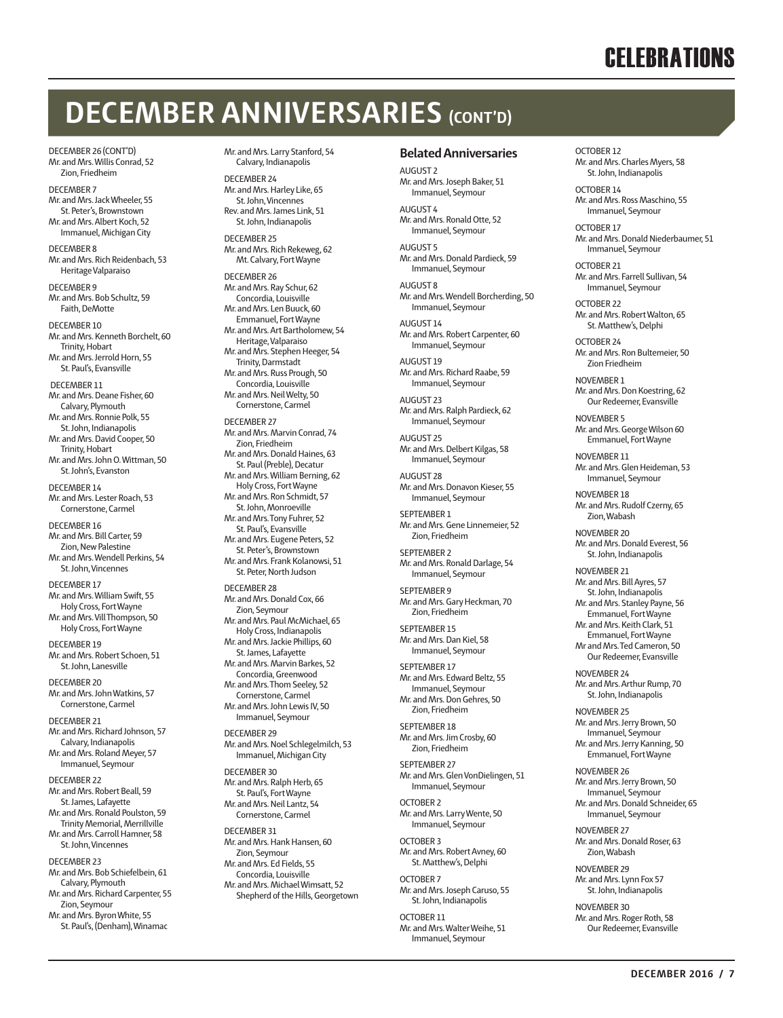## **CELEBRATIONS**

## **DECEMBER ANNIVERSARIES (CONT'D)**

DECEMBER 26 (CONT'D) Mr. and Mrs. Willis Conrad, 52 Zion, Friedheim

DECEMBER 7 Mr. and Mrs. Jack Wheeler, 55 St. Peter's, Brownstown Mr. and Mrs. Albert Koch, 52 Immanuel, Michigan City

DECEMBER 8 Mr. and Mrs. Rich Reidenbach, 53 Heritage Valparaiso

DECEMBER 9 Mr. and Mrs. Bob Schultz, 59 Faith, DeMotte

DECEMBER 10 Mr. and Mrs. Kenneth Borchelt, 60 Trinity, Hobart Mr. and Mrs. Jerrold Horn, 55 St. Paul's, Evansville DECEMBER 11 Mr. and Mrs. Deane Fisher, 60 Calvary, Plymouth Mr. and Mrs. Ronnie Polk, 55 St. John, Indianapolis Mr. and Mrs. David Cooper, 50 Trinity, Hobart Mr. and Mrs. John O. Wittman, 50 St. John's, Evanston DECEMBER 14 Mr. and Mrs. Lester Roach, 53 Cornerstone, Carmel DECEMBER 16 Mr. and Mrs. Bill Carter, 59 Zion, New Palestine Mr. and Mrs. Wendell Perkins, 54 St. John, Vincennes DECEMBER 17 Mr. and Mrs. William Swift, 55 Holy Cross, Fort Wayne Mr. and Mrs. Vill Thompson, 50 Holy Cross, Fort Wayne DECEMBER 19

Mr. and Mrs. Robert Schoen, 51 St. John, Lanesville

DECEMBER 20 Mr. and Mrs. John Watkins, 57 Cornerstone, Carmel

DECEMBER 21 Mr. and Mrs. Richard Johnson, 57 Calvary, Indianapolis Mr. and Mrs. Roland Meyer, 57 Immanuel, Seymour

DECEMBER 22 Mr. and Mrs. Robert Beall, 59 St. James, Lafayette Mr. and Mrs. Ronald Poulston, 59 Trinity Memorial, Merrillville Mr. and Mrs. Carroll Hamner, 58 St. John, Vincennes

DECEMBER 23 Mr. and Mrs. Bob Schiefelbein, 61 Calvary, Plymouth Mr. and Mrs. Richard Carpenter, 55 Zion, Seymour Mr. and Mrs. Byron White, 55

St. Paul's, (Denham), Winamac

Mr. and Mrs. Larry Stanford, 54 Calvary, Indianapolis

DECEMBER 24 Mr. and Mrs. Harley Like, 65 St. John, Vincennes Rev. and Mrs. James Link, 51 St. John, Indianapolis

DECEMBER 25 Mr. and Mrs. Rich Rekeweg, 62 Mt. Calvary, Fort Wayne

DECEMBER 26 Mr. and Mrs. Ray Schur, 62 Concordia, Louisville Mr. and Mrs. Len Buuck, 60 Emmanuel, Fort Wayne Mr. and Mrs. Art Bartholomew, 54 Heritage, Valparaiso Mr. and Mrs. Stephen Heeger, 54 Trinity, Darmstadt Mr. and Mrs. Russ Prough, 50 Concordia, Louisville Mr. and Mrs. Neil Welty, 50 Cornerstone, Carmel

DECEMBER 27 Mr. and Mrs. Marvin Conrad, 74 Zion, Friedheim Mr. and Mrs. Donald Haines, 63 St. Paul (Preble), Decatur Mr. and Mrs. William Berning, 62 Holy Cross, Fort Wayne Mr. and Mrs. Ron Schmidt, 57 St. John, Monroeville Mr. and Mrs. Tony Fuhrer, 52 St. Paul's, Evansville Mr. and Mrs. Eugene Peters, 52 St. Peter's, Brownstown Mr. and Mrs. Frank Kolanowsi, 51 St. Peter, North Judson DECEMBER 28 Mr. and Mrs. Donald Cox, 66 Zion, Seymour Mr. and Mrs. Paul McMichael, 65 Holy Cross, Indianapolis Mr. and Mrs. Jackie Phillips, 60 St. James, Lafayette Mr. and Mrs. Marvin Barkes, 52 Concordia, Greenwood Mr. and Mrs. Thom Seeley, 52 Cornerstone, Carmel Mr. and Mrs. John Lewis IV, 50 Immanuel, Seymour DECEMBER 29 Mr. and Mrs. Noel Schlegelmilch, 53 Immanuel, Michigan City DECEMBER 30

Mr. and Mrs. Ralph Herb, 65 St. Paul's, Fort Wayne Mr. and Mrs. Neil Lantz, 54 Cornerstone, Carmel

DECEMBER 31 Mr. and Mrs. Hank Hansen, 60 Zion, Seymour Mr. and Mrs. Ed Fields, 55 Concordia, Louisville Mr. and Mrs. Michael Wimsatt, 52 Shepherd of the Hills, Georgetown

#### **Belated Anniversaries**

AUGUST<sub>2</sub> Mr. and Mrs. Joseph Baker, 51 Immanuel, Seymour

AUGUST 4 Mr. and Mrs. Ronald Otte, 52 Immanuel, Seymour

AUGUST 5 Mr. and Mrs. Donald Pardieck, 59 Immanuel, Seymour

AUGUST 8 Mr. and Mrs. Wendell Borcherding, 50 Immanuel, Seymour

AUGUST 14 Mr. and Mrs. Robert Carpenter, 60

Immanuel, Seymour AUGUST 10 Mr. and Mrs. Richard Raabe, 59 Immanuel, Seymour

AUGUST 23 Mr. and Mrs. Ralph Pardieck, 62 Immanuel, Seymour

AUGUST 25 Mr. and Mrs. Delbert Kilgas, 58 Immanuel, Seymour

AUGUST 28 Mr. and Mrs. Donavon Kieser, 55 Immanuel, Seymour

SEPTEMBER 1 Mr. and Mrs. Gene Linnemeier, 52 Zion, Friedheim

SEPTEMBER 2 Mr. and Mrs. Ronald Darlage, 54 Immanuel, Seymour

SEPTEMBER 9 Mr. and Mrs. Gary Heckman, 70 Zion, Friedheim

SEPTEMBER 15 Mr. and Mrs. Dan Kiel, 58 Immanuel, Seymour

SEPTEMBER 17 Mr. and Mrs. Edward Beltz, 55 Immanuel, Seymour Mr. and Mrs. Don Gehres, 50 Zion, Friedheim

SEPTEMBER 18 Mr. and Mrs. Jim Crosby, 60 Zion, Friedheim

SEPTEMBER 27 Mr. and Mrs. Glen VonDielingen, 51 Immanuel, Seymour

OCTOBER 2 Mr. and Mrs. Larry Wente, 50 Immanuel, Seymour

OCTOBER 3 Mr. and Mrs. Robert Avney, 60 St. Matthew's, Delphi

OCTOBER 7 Mr. and Mrs. Joseph Caruso, 55 St. John, Indianapolis

OCTOBER 11 Mr. and Mrs. Walter Weihe, 51 Immanuel, Seymour

OCTOBER 12 Mr. and Mrs. Charles Myers, 58 St. John, Indianapolis

OCTOBER 14 Mr. and Mrs. Ross Maschino, 55 Immanuel, Seymour

OCTOBER 17 Mr. and Mrs. Donald Niederbaumer, 51 Immanuel, Seymour

OCTOBER 21 Mr. and Mrs. Farrell Sullivan, 54 Immanuel, Seymour

OCTOBER 22 Mr. and Mrs. Robert Walton, 65 St. Matthew's, Delphi

OCTOBER 24 Mr. and Mrs. Ron Bultemeier, 50 Zion Friedheim

NOVEMBER 1 Mr. and Mrs. Don Koestring, 62 Our Redeemer, Evansville

NOVEMBER 5 Mr. and Mrs. George Wilson 60 Emmanuel, Fort Wayne

NOVEMBER 11 Mr. and Mrs. Glen Heideman, 53 Immanuel, Seymour

NOVEMBER 18 Mr. and Mrs. Rudolf Czerny, 65 Zion, Wabash

NOVEMBER 20 Mr. and Mrs. Donald Everest, 56 St. John, Indianapolis

NOVEMBER 21 Mr. and Mrs. Bill Ayres, 57 St. John, Indianapolis Mr. and Mrs. Stanley Payne, 56 Emmanuel, Fort Wayne Mr. and Mrs. Keith Clark, 51 Emmanuel, Fort Wayne Mr and Mrs. Ted Cameron, 50 Our Redeemer, Evansville

NOVEMBER 24 Mr. and Mrs. Arthur Rump, 70 St. John, Indianapolis

NOVEMBER 25 Mr. and Mrs. Jerry Brown, 50 Immanuel, Seymour Mr. and Mrs. Jerry Kanning, 50 Emmanuel, Fort Wayne

NOVEMBER 26 Mr. and Mrs. Jerry Brown, 50 Immanuel, Seymour Mr. and Mrs. Donald Schneider, 65 Immanuel, Seymour

NOVEMBER 27 Mr. and Mrs. Donald Roser, 63 Zion, Wabash

NOVEMBER 29 Mr. and Mrs. Lynn Fox 57 St. John, Indianapolis

NOVEMBER 30 Mr. and Mrs. Roger Roth, 58 Our Redeemer, Evansville